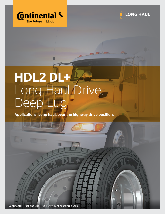



## HDL2 DL+ Long Haul Drive, Deep Lug

Applications: Long haul, over the highway drive position.